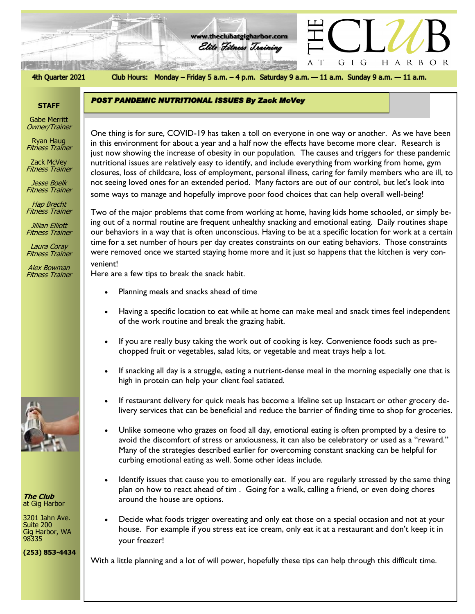

#### 4th Quarter 2021

Club Hours: Monday - Friday 5 a.m. - 4 p.m. Saturday 9 a.m. - 11 a.m. Sunday 9 a.m. - 11 a.m.

**www.theclubatgigharbor.com**

Elite Fitness Training

**POST PANDEMIC NUTRITIONAL ISSUES By Zack McVey** 

## **STAFF**

Gabe Merritt Owner/Trainer

Ryan Haug Fitness Trainer

Zack McVey Fitness Trainer

Jesse Boelk Fitness Trainer

Hap Brecht Fitness Trainer

Jillian Elliott Fitness Trainer

Laura Coray Fitness Trainer

Alex Bowman Fitness Trainer



**The Club** at Gig Harbor

3201 Jahn Ave. Suite 200 Gig Harbor, WA 98335

**(253) 853-4434**

In this environment for about a year and a nail how the enects have become more clear. Research is<br>just now showing the increase of obesity in our population. The causes and triggers for these pandemic One thing is for sure, COVID-19 has taken a toll on everyone in one way or another. As we have been in this environment for about a year and a half now the effects have become more clear. Research is nutritional issues are relatively easy to identify, and include everything from working from home, gym closures, loss of childcare, loss of employment, personal illness, caring for family members who are ill, to not seeing loved ones for an extended period. Many factors are out of our control, but let's look into some ways to manage and hopefully improve poor food choices that can help overall well-being!

Two of the major problems that come from working at home, having kids home schooled, or simply being out of a normal routine are frequent unhealthy snacking and emotional eating. Daily routines shape our behaviors in a way that is often unconscious. Having to be at a specific location for work at a certain time for a set number of hours per day creates constraints on our eating behaviors. Those constraints were removed once we started staying home more and it just so happens that the kitchen is very convenient!

Here are a few tips to break the snack habit.

- Planning meals and snacks ahead of time
- Having a specific location to eat while at home can make meal and snack times feel independent of the work routine and break the grazing habit.
- If you are really busy taking the work out of cooking is key. Convenience foods such as prechopped fruit or vegetables, salad kits, or vegetable and meat trays help a lot.
- If snacking all day is a struggle, eating a nutrient-dense meal in the morning especially one that is high in protein can help your client feel satiated.
- If restaurant delivery for quick meals has become a lifeline set up Instacart or other grocery delivery services that can be beneficial and reduce the barrier of finding time to shop for groceries.
- Unlike someone who grazes on food all day, emotional eating is often prompted by a desire to avoid the discomfort of stress or anxiousness, it can also be celebratory or used as a "reward." Many of the strategies described earlier for overcoming constant snacking can be helpful for curbing emotional eating as well. Some other ideas include.
- Identify issues that cause you to emotionally eat. If you are regularly stressed by the same thing plan on how to react ahead of tim . Going for a walk, calling a friend, or even doing chores around the house are options.
- Decide what foods trigger overeating and only eat those on a special occasion and not at your house. For example if you stress eat ice cream, only eat it at a restaurant and don't keep it in your freezer!

With a little planning and a lot of will power, hopefully these tips can help through this difficult time.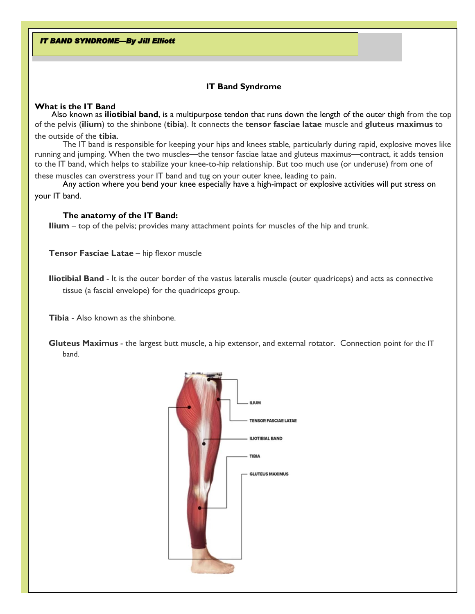**IT BAND SYNDROME-By Jill Elliott** 

# **IT Band Syndrome**

## **What is the IT Band**

Also known as **iliotibial band**, is a multipurpose tendon that runs down the length of the outer thigh from the top of the pelvis (**ilium**) to the shinbone (**tibia**). It connects the **tensor fasciae latae** muscle and **gluteus maximus** to the outside of the **tibia**.

The IT band is responsible for keeping your hips and knees stable, particularly during rapid, explosive moves like running and jumping. When the two muscles—the tensor fasciae latae and gluteus maximus—contract, it adds tension to the IT band, which helps to stabilize your knee-to-hip relationship. But too much use (or underuse) from one of these muscles can overstress your IT band and tug on your outer knee, leading to pain.

Any action where you bend your knee especially have a high-impact or explosive activities will put stress on your IT band.

# **The anatomy of the IT Band:**

**Ilium** – top of the pelvis; provides many attachment points for muscles of the hip and trunk.

**Tensor Fasciae Latae** - hip flexor muscle

**Iliotibial Band** - It is the outer border of the vastus lateralis muscle (outer quadriceps) and acts as connective tissue (a fascial envelope) for the quadriceps group.

**Tibia** - Also known as the shinbone.

**Gluteus Maximus** - the largest butt muscle, a hip extensor, and external rotator. Connection point for the IT band.

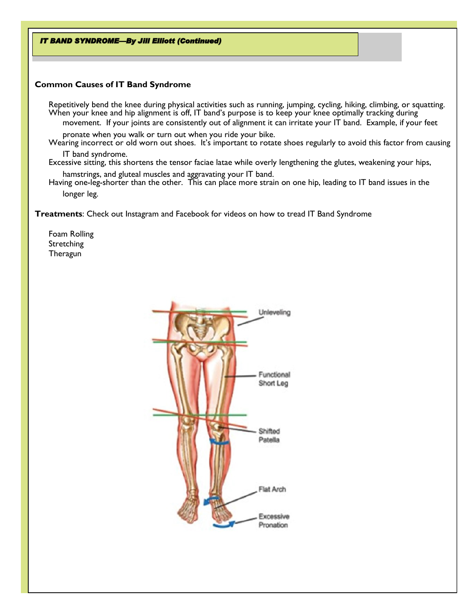**IT BAND SYNDROME-By Jill Elliott (Continued)** 

## **Common Causes of IT Band Syndrome**

Repetitively bend the knee during physical activities such as running, jumping, cycling, hiking, climbing, or squatting. When your knee and hip alignment is off, IT band's purpose is to keep your knee optimally tracking during movement. If your joints are consistently out of alignment it can irritate your IT band. Example, if your feet

pronate when you walk or turn out when you ride your bike. Wearing incorrect or old worn out shoes. It's important to rotate shoes regularly to avoid this factor from causing

IT band syndrome. Excessive sitting, this shortens the tensor faciae latae while overly lengthening the glutes, weakening your hips,

hamstrings, and gluteal muscles and aggravating your IT band. Having one-leg-shorter than the other. This can place more strain on one hip, leading to IT band issues in the longer leg.

**Treatments**: Check out Instagram and Facebook for videos on how to tread IT Band Syndrome

Foam Rolling Stretching **Theragun** 

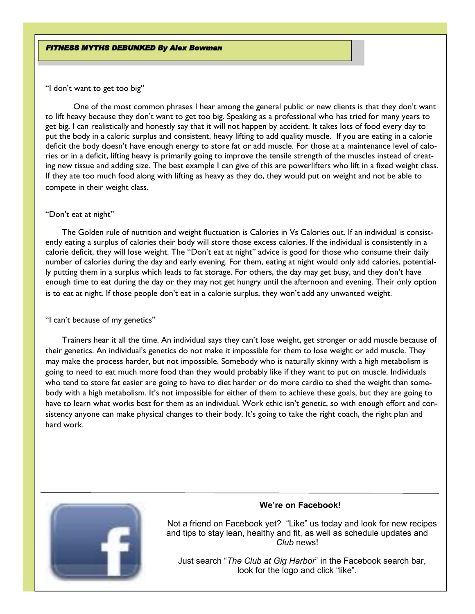"I don't want to get too big"

One of the most common phrases I hear among the general public or new clients is that they don't want to lift heavy because they don't want to get too big. Speaking as a professional who has tried for many years to get big, I can realistically and honestly say that it will not happen by accident. It takes lots of food every day to put the body in a caloric surplus and consistent, heavy lifting to add quality muscle. If you are eating in a calorie deficit the body doesn't have enough energy to store fat or add muscle. For those at a maintenance level of calories or in a deficit, lifting heavy is primarily going to improve the tensile strength of the muscles instead of creating new tissue and adding size. The best example I can give of this are powerlifters who lift in a fixed weight class. If they ate too much food along with lifting as heavy as they do, they would put on weight and not be able to compete in their weight class.

#### "Don't eat at night"

The Golden rule of nutrition and weight fluctuation is Calories in Vs Calories out. If an individual is consistently eating a surplus of calories their body will store those excess calories. If the individual is consistently in a calorie deficit, they will lose weight. The "Don't eat at night" advice is good for those who consume their daily number of calories during the day and early evening. For them, eating at night would only add calories, potentially putting them in a surplus which leads to fat storage. For others, the day may get busy, and they don't have enough time to eat during the day or they may not get hungry until the afternoon and evening. Their only option is to eat at night. If those people don't eat in a calorie surplus, they won't add any unwanted weight.

## "I can't because of my genetics"

Trainers hear it all the time. An individual says they can't lose weight, get stronger or add muscle because of their genetics. An individual's genetics do not make it impossible for them to lose weight or add muscle. They may make the process harder, but not impossible. Somebody who is naturally skinny with a high metabolism is going to need to eat much more food than they would probably like if they want to put on muscle. Individuals who tend to store fat easier are going to have to diet harder or do more cardio to shed the weight than somebody with a high metabolism. It's not impossible for either of them to achieve these goals, but they are going to have to learn what works best for them as an individual. Work ethic isn't genetic, so with enough effort and consistency anyone can make physical changes to their body. It's going to take the right coach, the right plan and hard work.



## **We're on Facebook!**

 Not a friend on Facebook yet? "Like" us today and look for new recipes and tips to stay lean, healthy and fit, as well as schedule updates and *Club* news!

 Just search "*The Club at Gig Harbor*" in the Facebook search bar, look for the logo and click "like".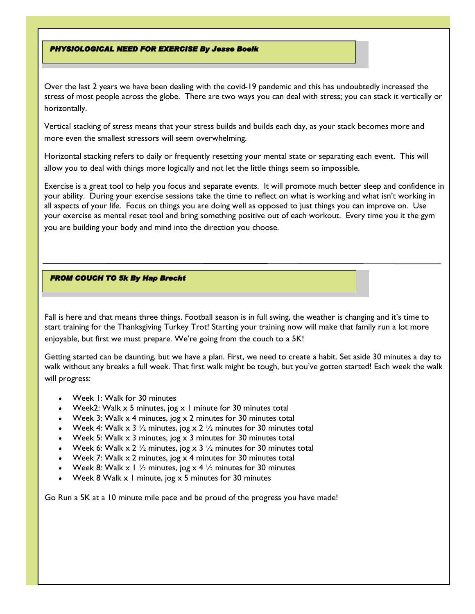#### **PHYSIOLOGICAL NEED FOR EXERCISE By Jesse Boelk**

Over the last 2 years we have been dealing with the covid-19 pandemic and this has undoubtedly increased the stress of most people across the globe. There are two ways you can deal with stress; you can stack it vertically or horizontally.

Vertical stacking of stress means that your stress builds and builds each day, as your stack becomes more and more even the smallest stressors will seem overwhelming.

Horizontal stacking refers to daily or frequently resetting your mental state or separating each event. This will allow you to deal with things more logically and not let the little things seem so impossible.

Exercise is a great tool to help you focus and separate events. It will promote much better sleep and confidence in your ability. During your exercise sessions take the time to reflect on what is working and what isn't working in all aspects of your life. Focus on things you are doing well as opposed to just things you can improve on. Use your exercise as mental reset tool and bring something positive out of each workout. Every time you it the gym you are building your body and mind into the direction you choose.

#### **FROM COUCH TO 5k By Hap Brecht**

Fall is here and that means three things. Football season is in full swing, the weather is changing and it's time to start training for the Thanksgiving Turkey Trot! Starting your training now will make that family run a lot more enjoyable, but first we must prepare. We're going from the couch to a 5K!

Getting started can be daunting, but we have a plan. First, we need to create a habit. Set aside 30 minutes a day to walk without any breaks a full week. That first walk might be tough, but you've gotten started! Each week the walk will progress:

- Week 1: Walk for 30 minutes
- Week2: Walk  $x$  5 minutes, jog  $x$  1 minute for 30 minutes total
- Week 3: Walk  $\times$  4 minutes, jog  $\times$  2 minutes for 30 minutes total
- Week 4: Walk  $\times$  3  $\frac{1}{2}$  minutes, jog  $\times$  2  $\frac{1}{2}$  minutes for 30 minutes total
- Week 5: Walk  $\times$  3 minutes, jog  $\times$  3 minutes for 30 minutes total
- Week 6: Walk x 2  $\frac{1}{2}$  minutes, jog x 3  $\frac{1}{2}$  minutes for 30 minutes total
- Week 7: Walk  $\times$  2 minutes, jog  $\times$  4 minutes for 30 minutes total
- Week 8: Walk  $\times$  1  $\frac{1}{2}$  minutes, jog  $\times$  4  $\frac{1}{2}$  minutes for 30 minutes
- Week 8 Walk  $x$  1 minute, jog  $x$  5 minutes for 30 minutes

Go Run a 5K at a 10 minute mile pace and be proud of the progress you have made!